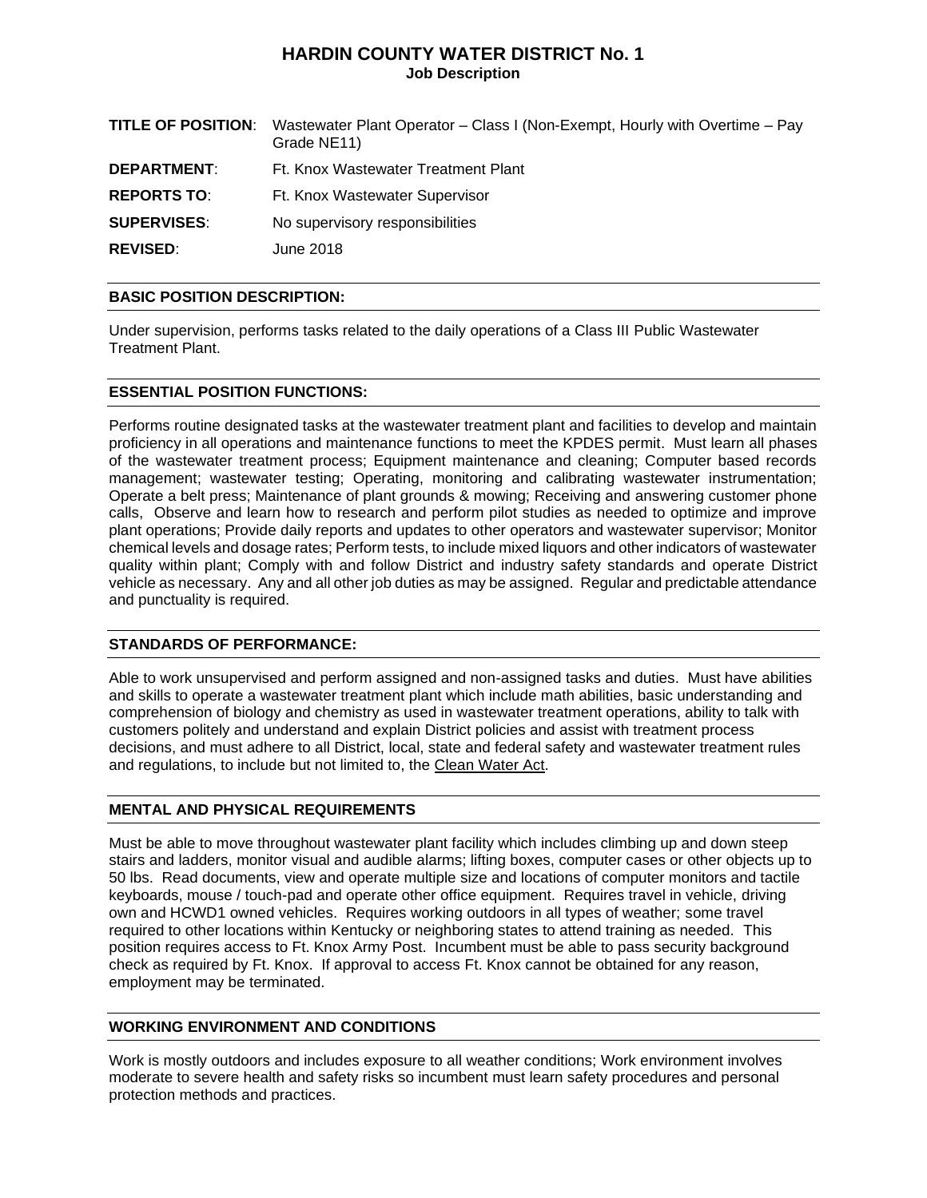# **HARDIN COUNTY WATER DISTRICT No. 1 Job Description**

|                    | <b>TITLE OF POSITION:</b> Wastewater Plant Operator – Class I (Non-Exempt, Hourly with Overtime – Pay<br>Grade NE11) |
|--------------------|----------------------------------------------------------------------------------------------------------------------|
| <b>DEPARTMENT:</b> | Ft. Knox Wastewater Treatment Plant                                                                                  |
| <b>REPORTS TO:</b> | Ft. Knox Wastewater Supervisor                                                                                       |
| <b>SUPERVISES:</b> | No supervisory responsibilities                                                                                      |
| <b>REVISED:</b>    | June 2018                                                                                                            |

## **BASIC POSITION DESCRIPTION:**

Under supervision, performs tasks related to the daily operations of a Class III Public Wastewater Treatment Plant.

### **ESSENTIAL POSITION FUNCTIONS:**

Performs routine designated tasks at the wastewater treatment plant and facilities to develop and maintain proficiency in all operations and maintenance functions to meet the KPDES permit. Must learn all phases of the wastewater treatment process; Equipment maintenance and cleaning; Computer based records management; wastewater testing; Operating, monitoring and calibrating wastewater instrumentation; Operate a belt press; Maintenance of plant grounds & mowing; Receiving and answering customer phone calls, Observe and learn how to research and perform pilot studies as needed to optimize and improve plant operations; Provide daily reports and updates to other operators and wastewater supervisor; Monitor chemical levels and dosage rates; Perform tests, to include mixed liquors and other indicators of wastewater quality within plant; Comply with and follow District and industry safety standards and operate District vehicle as necessary. Any and all other job duties as may be assigned. Regular and predictable attendance and punctuality is required.

### **STANDARDS OF PERFORMANCE:**

Able to work unsupervised and perform assigned and non-assigned tasks and duties. Must have abilities and skills to operate a wastewater treatment plant which include math abilities, basic understanding and comprehension of biology and chemistry as used in wastewater treatment operations, ability to talk with customers politely and understand and explain District policies and assist with treatment process decisions, and must adhere to all District, local, state and federal safety and wastewater treatment rules and regulations, to include but not limited to, the Clean Water Act.

### **MENTAL AND PHYSICAL REQUIREMENTS**

Must be able to move throughout wastewater plant facility which includes climbing up and down steep stairs and ladders, monitor visual and audible alarms; lifting boxes, computer cases or other objects up to 50 lbs. Read documents, view and operate multiple size and locations of computer monitors and tactile keyboards, mouse / touch-pad and operate other office equipment. Requires travel in vehicle, driving own and HCWD1 owned vehicles. Requires working outdoors in all types of weather; some travel required to other locations within Kentucky or neighboring states to attend training as needed. This position requires access to Ft. Knox Army Post. Incumbent must be able to pass security background check as required by Ft. Knox. If approval to access Ft. Knox cannot be obtained for any reason, employment may be terminated.

### **WORKING ENVIRONMENT AND CONDITIONS**

Work is mostly outdoors and includes exposure to all weather conditions; Work environment involves moderate to severe health and safety risks so incumbent must learn safety procedures and personal protection methods and practices.